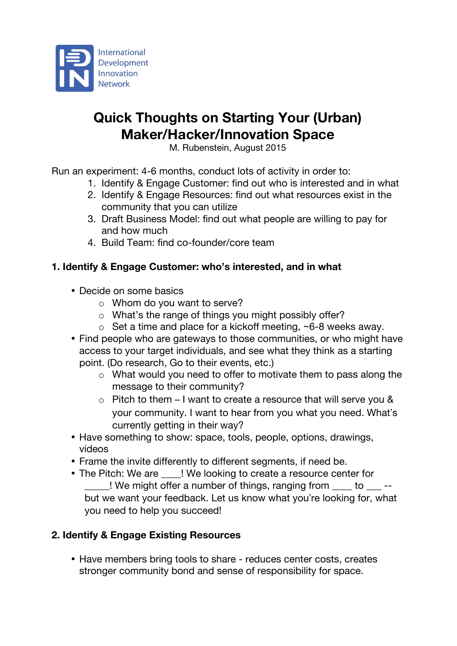

# **Quick Thoughts on Starting Your (Urban) Maker/Hacker/Innovation Space**

M. Rubenstein, August 2015

Run an experiment: 4-6 months, conduct lots of activity in order to:

- 1. Identify & Engage Customer: find out who is interested and in what
- 2. Identify & Engage Resources: find out what resources exist in the community that you can utilize
- 3. Draft Business Model: find out what people are willing to pay for and how much
- 4. Build Team: find co-founder/core team

### **1. Identify & Engage Customer: who's interested, and in what**

- Decide on some basics
	- o Whom do you want to serve?
	- o What's the range of things you might possibly offer?
	- o Set a time and place for a kickoff meeting, ~6-8 weeks away.
- Find people who are gateways to those communities, or who might have access to your target individuals, and see what they think as a starting point. (Do research, Go to their events, etc.)
	- o What would you need to offer to motivate them to pass along the message to their community?
	- o Pitch to them I want to create a resource that will serve you & your community. I want to hear from you what you need. What's currently getting in their way?
- Have something to show: space, tools, people, options, drawings, videos
- Frame the invite differently to different segments, if need be.
- The Pitch: We are <br>! We looking to create a resource center for  $\frac{1}{2}$  We might offer a number of things, ranging from  $\frac{1}{2}$  to  $\frac{1}{2}$  -but we want your feedback. Let us know what you're looking for, what you need to help you succeed!

### **2. Identify & Engage Existing Resources**

• Have members bring tools to share - reduces center costs, creates stronger community bond and sense of responsibility for space.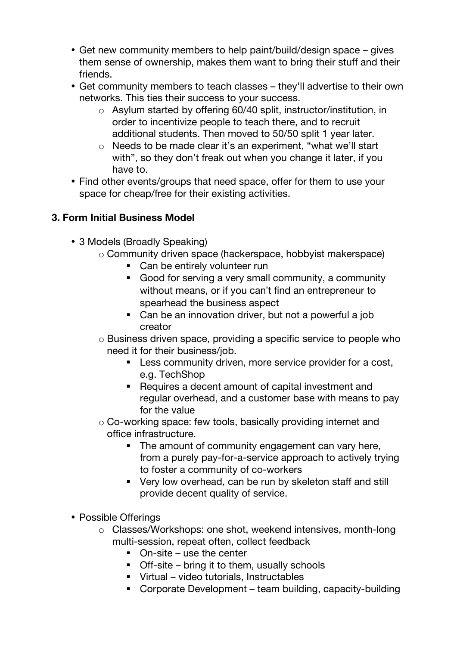- Get new community members to help paint/build/design space gives them sense of ownership, makes them want to bring their stuff and their friends.
- Get community members to teach classes they'll advertise to their own networks. This ties their success to your success.
	- o Asylum started by offering 60/40 split, instructor/institution, in order to incentivize people to teach there, and to recruit additional students. Then moved to 50/50 split 1 year later.
	- o Needs to be made clear it's an experiment, "what we'll start with", so they don't freak out when you change it later, if you have to.
- Find other events/groups that need space, offer for them to use your space for cheap/free for their existing activities.

## **3. Form Initial Business Model**

- 3 Models (Broadly Speaking)
	- o Community driven space (hackerspace, hobbyist makerspace)
		- Can be entirely volunteer run
		- Good for serving a very small community, a community without means, or if you can't find an entrepreneur to spearhead the business aspect
		- Can be an innovation driver, but not a powerful a job creator
	- o Business driven space, providing a specific service to people who need it for their business/job.
		- **EXECT** Less community driven, more service provider for a cost, e.g. TechShop
		- Requires a decent amount of capital investment and regular overhead, and a customer base with means to pay for the value
	- o Co-working space: few tools, basically providing internet and office infrastructure.
		- The amount of community engagement can vary here, from a purely pay-for-a-service approach to actively trying to foster a community of co-workers
		- Very low overhead, can be run by skeleton staff and still provide decent quality of service.
- Possible Offerings
	- o Classes/Workshops: one shot, weekend intensives, month-long multi-session, repeat often, collect feedback
		- $\blacksquare$  On-site use the center
		- Off-site bring it to them, usually schools
		- § Virtual video tutorials, Instructables
		- § Corporate Development team building, capacity-building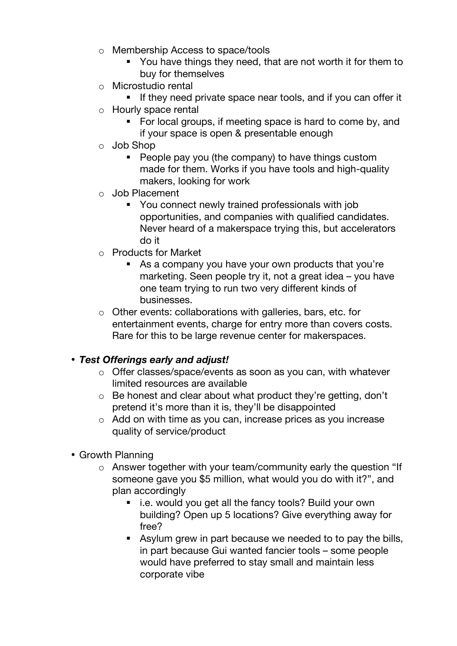- o Membership Access to space/tools
	- § You have things they need, that are not worth it for them to buy for themselves
- o Microstudio rental
	- **•** If they need private space near tools, and if you can offer it
- o Hourly space rental
	- For local groups, if meeting space is hard to come by, and if your space is open & presentable enough
- o Job Shop
	- People pay you (the company) to have things custom made for them. Works if you have tools and high-quality makers, looking for work
- o Job Placement
	- § You connect newly trained professionals with job opportunities, and companies with qualified candidates. Never heard of a makerspace trying this, but accelerators do it
- o Products for Market
	- As a company you have your own products that you're marketing. Seen people try it, not a great idea – you have one team trying to run two very different kinds of businesses.
- o Other events: collaborations with galleries, bars, etc. for entertainment events, charge for entry more than covers costs. Rare for this to be large revenue center for makerspaces.

#### • *Test Offerings early and adjust!*

- o Offer classes/space/events as soon as you can, with whatever limited resources are available
- o Be honest and clear about what product they're getting, don't pretend it's more than it is, they'll be disappointed
- o Add on with time as you can, increase prices as you increase quality of service/product
- Growth Planning
	- o Answer together with your team/community early the question "If someone gave you \$5 million, what would you do with it?", and plan accordingly
		- i.e. would you get all the fancy tools? Build your own building? Open up 5 locations? Give everything away for free?
		- Asylum grew in part because we needed to to pay the bills, in part because Gui wanted fancier tools – some people would have preferred to stay small and maintain less corporate vibe